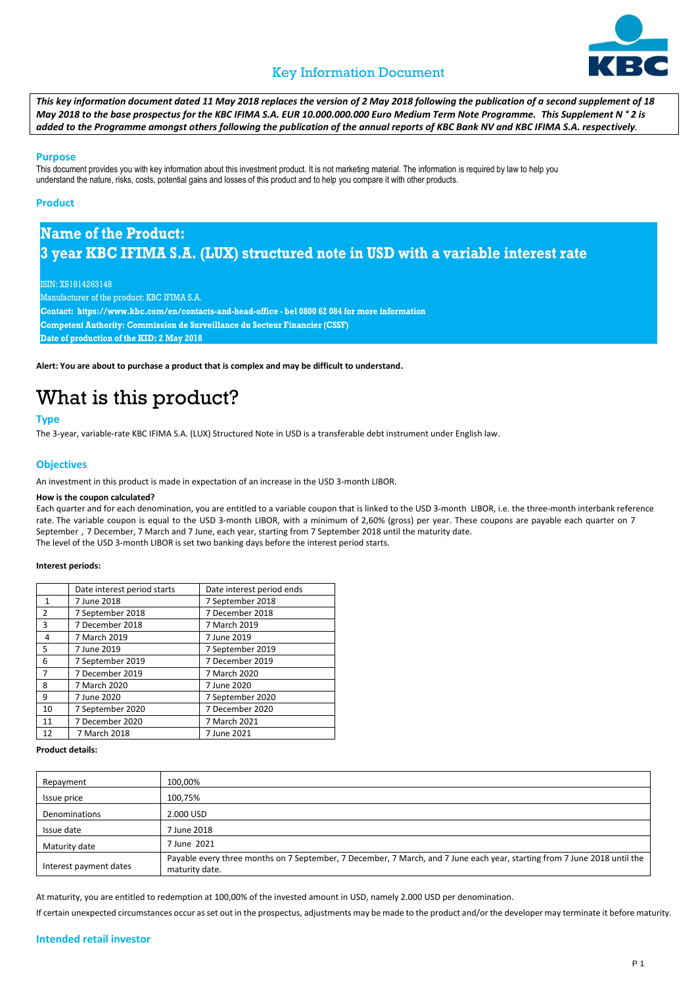### Key Information Document



*This key information document dated 11 May 2018 replaces the version of 2 May 2018 following the publication of a second supplement of 18 May 2018 to the base prospectus for the KBC IFIMA S.A. EUR 10.000.000.000 Euro Medium Term Note Programme. This Supplement N ° 2 is added to the Programme amongst others following the publication of the annual reports of KBC Bank NV and KBC IFIMA S.A. respectively.*

#### **Purpose**

This document provides you with key information about this investment product. It is not marketing material. The information is required by law to help you understand the nature, risks, costs, potential gains and losses of this product and to help you compare it with other products.

#### **Product**

### **Name of the Product: 3 year KBC IFIMA S.A. (LUX) structured note in USD with a variable interest rate**

ISIN: XS1814263148

Manufacturer of the product: KBC IFIMA S.A.

**Contact: https://www.kbc.com/en/contacts-and-head-office - bel 0800 62 084 for more information Competent Authority: Commission de Surveillance du Secteur Financier (CSSF)**

**Date of production of the KID: 2 May 2018**

**Alert: You are about to purchase a product that is complex and may be difficult to understand.** 

## What is this product?

#### **Type**

The 3-year, variable-rate KBC IFIMA S.A. (LUX) Structured Note in USD is a transferable debt instrument under English law.

#### **Objectives**

An investment in this product is made in expectation of an increase in the USD 3-month LIBOR.

#### **How is the coupon calculated?**

Each quarter and for each denomination, you are entitled to a variable coupon that is linked to the USD 3-month LIBOR, i.e. the three-month interbank reference rate. The variable coupon is equal to the USD 3-month LIBOR, with a minimum of 2,60% (gross) per year. These coupons are payable each quarter on 7 September , 7 December, 7 March and 7 June, each year, starting from 7 September 2018 until the maturity date. The level of the USD 3-month LIBOR is set two banking days before the interest period starts.

#### **Interest periods:**

|                | Date interest period starts | Date interest period ends |
|----------------|-----------------------------|---------------------------|
| $\mathbf{1}$   | 7 June 2018                 | 7 September 2018          |
| $\overline{2}$ | 7 September 2018            | 7 December 2018           |
| 3              | 7 December 2018             | 7 March 2019              |
| 4              | 7 March 2019                | 7 June 2019               |
| 5              | 7 June 2019                 | 7 September 2019          |
| 6              | 7 September 2019            | 7 December 2019           |
| $\overline{7}$ | 7 December 2019             | 7 March 2020              |
| 8              | 7 March 2020                | 7 June 2020               |
| 9              | 7 June 2020                 | 7 September 2020          |
| 10             | 7 September 2020            | 7 December 2020           |
| 11             | 7 December 2020             | 7 March 2021              |
| 12             | 7 March 2018                | 7 June 2021               |

#### **Product details:**

| Repayment              | 100,00%                                                                                                                                     |
|------------------------|---------------------------------------------------------------------------------------------------------------------------------------------|
| Issue price            | 100,75%                                                                                                                                     |
| Denominations          | 2.000 USD                                                                                                                                   |
| Issue date             | 7 June 2018                                                                                                                                 |
| Maturity date          | 7 June 2021                                                                                                                                 |
| Interest payment dates | Payable every three months on 7 September, 7 December, 7 March, and 7 June each year, starting from 7 June 2018 until the<br>maturity date. |

At maturity, you are entitled to redemption at 100,00% of the invested amount in USD, namely 2.000 USD per denomination.

If certain unexpected circumstances occur as set out in the prospectus, adjustments may be made to the product and/or the developer may terminate it before maturity.

#### **Intended retail investor**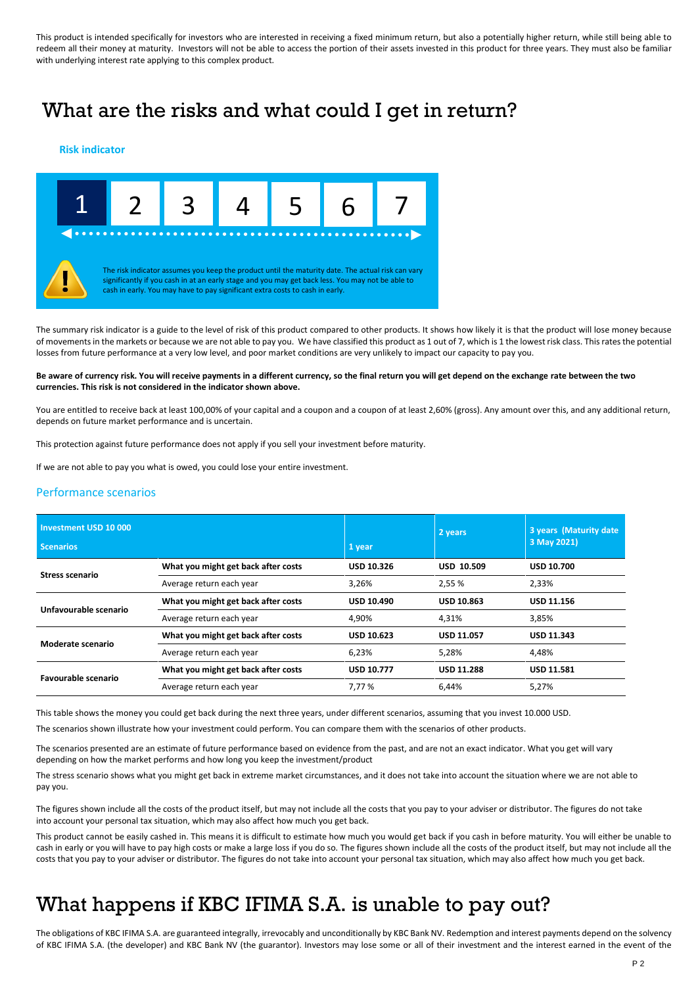This product is intended specifically for investors who are interested in receiving a fixed minimum return, but also a potentially higher return, while still being able to redeem all their money at maturity. Investors will not be able to access the portion of their assets invested in this product for three years. They must also be familiar with underlying interest rate applying to this complex product.

### What are the risks and what could I get in return?

#### **Risk indicator**



The summary risk indicator is a guide to the level of risk of this product compared to other products. It shows how likely it is that the product will lose money because of movements in the markets or because we are not able to pay you. We have classified this product as 1 out of 7, which is 1 the lowest risk class. This rates the potential losses from future performance at a very low level, and poor market conditions are very unlikely to impact our capacity to pay you.

#### **Be aware of currency risk. You will receive payments in a different currency, so the final return you will get depend on the exchange rate between the two currencies. This risk is not considered in the indicator shown above.**

You are entitled to receive back at least 100,00% of your capital and a coupon and a coupon of at least 2,60% (gross). Any amount over this, and any additional return, depends on future market performance and is uncertain.

This protection against future performance does not apply if you sell your investment before maturity.

If we are not able to pay you what is owed, you could lose your entire investment.

#### Performance scenarios

| Investment USD 10 000<br><b>Scenarios</b> |                                     | 1 year            | 2 years           | 3 years (Maturity date)<br>3 May 2021) |
|-------------------------------------------|-------------------------------------|-------------------|-------------------|----------------------------------------|
| Stress scenario                           | What you might get back after costs | <b>USD 10.326</b> | <b>USD 10.509</b> | <b>USD 10.700</b>                      |
|                                           | Average return each year            | 3,26%             | 2,55 %            | 2,33%                                  |
| Unfavourable scenario                     | What you might get back after costs | <b>USD 10.490</b> | <b>USD 10.863</b> | <b>USD 11.156</b>                      |
|                                           | Average return each year            | 4,90%             | 4,31%             | 3,85%                                  |
| Moderate scenario                         | What you might get back after costs | <b>USD 10.623</b> | <b>USD 11.057</b> | <b>USD 11.343</b>                      |
|                                           | Average return each year            | 6,23%             | 5,28%             | 4,48%                                  |
| <b>Favourable scenario</b>                | What you might get back after costs | <b>USD 10.777</b> | <b>USD 11.288</b> | <b>USD 11.581</b>                      |
|                                           | Average return each year            | 7.77 %            | 6,44%             | 5,27%                                  |

This table shows the money you could get back during the next three years, under different scenarios, assuming that you invest 10.000 USD.

The scenarios shown illustrate how your investment could perform. You can compare them with the scenarios of other products.

The scenarios presented are an estimate of future performance based on evidence from the past, and are not an exact indicator. What you get will vary depending on how the market performs and how long you keep the investment/product

The stress scenario shows what you might get back in extreme market circumstances, and it does not take into account the situation where we are not able to pay you.

The figures shown include all the costs of the product itself, but may not include all the costs that you pay to your adviser or distributor. The figures do not take into account your personal tax situation, which may also affect how much you get back.

This product cannot be easily cashed in. This means it is difficult to estimate how much you would get back if you cash in before maturity. You will either be unable to cash in early or you will have to pay high costs or make a large loss if you do so. The figures shown include all the costs of the product itself, but may not include all the costs that you pay to your adviser or distributor. The figures do not take into account your personal tax situation, which may also affect how much you get back.

### What happens if KBC IFIMA S.A. is unable to pay out?

The obligations of KBC IFIMA S.A. are guaranteed integrally, irrevocably and unconditionally by KBC Bank NV. Redemption and interest payments depend on the solvency of KBC IFIMA S.A. (the developer) and KBC Bank NV (the guarantor). Investors may lose some or all of their investment and the interest earned in the event of the